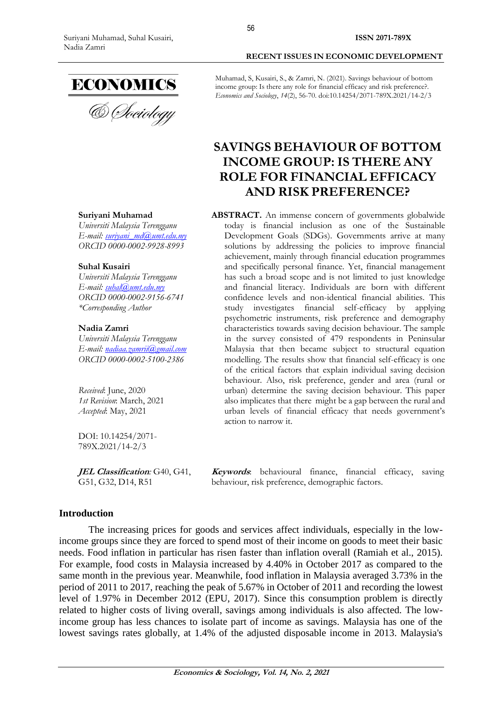

#### **Suriyani Muhamad**

*Universiti Malaysia Terengganu E-mail: [suriyani\\_md@umt.edu.my](mailto:suriyani_md@umt.edu.my) ORCID 0000-0002-9928-8993* 

#### **Suhal Kusairi**

*Universiti Malaysia Terengganu E-mail: [suhal@umt.edu.my](mailto:suhal@umt.edu.my) ORCID 0000-0002-9156-6741 \*Corresponding Author*

#### **Nadia Zamri**

*Universiti Malaysia Terengganu E-mail: [nadiaa.zamrii@gmail.com](mailto:nadiaa.zamrii@gmail.com) ORCID 0000-0002-5100-2386*

*Received*: June, 2020 *1st Revision*: March, 2021 *Accepted*: May, 2021

DOI: 10.14254/2071- 789X.2021/14-2/3

**JEL Classification***:* G40, G41, G51, G32, D14, R51

**ISSN 2071-789X**

Muhamad, S, Kusairi, S., & Zamri, N. (2021). Savings behaviour of bottom income group: Is there any role for financial efficacy and risk preference?. *Economics and Sociology*, *14*(2), 56-70. doi:10.14254/2071-789X.2021/14-2/3

# **SAVINGS BEHAVIOUR OF BOTTOM INCOME GROUP: IS THERE ANY ROLE FOR FINANCIAL EFFICACY AND RISK PREFERENCE?**

**ABSTRACT.** An immense concern of governments globalwide today is financial inclusion as one of the Sustainable Development Goals (SDGs). Governments arrive at many solutions by addressing the policies to improve financial achievement, mainly through financial education programmes and specifically personal finance. Yet, financial management has such a broad scope and is not limited to just knowledge and financial literacy. Individuals are born with different confidence levels and non-identical financial abilities. This study investigates financial self-efficacy by applying psychometric instruments, risk preference and demography characteristics towards saving decision behaviour. The sample in the survey consisted of 479 respondents in Peninsular Malaysia that then became subject to structural equation modelling. The results show that financial self-efficacy is one of the critical factors that explain individual saving decision behaviour. Also, risk preference, gender and area (rural or urban) determine the saving decision behaviour. This paper also implicates that there might be a gap between the rural and urban levels of financial efficacy that needs government's action to narrow it.

**Keywords**: behavioural finance, financial efficacy, saving behaviour, risk preference, demographic factors.

### **Introduction**

The increasing prices for goods and services affect individuals, especially in the lowincome groups since they are forced to spend most of their income on goods to meet their basic needs. Food inflation in particular has risen faster than inflation overall (Ramiah et al., 2015). For example, food costs in Malaysia increased by 4.40% in October 2017 as compared to the same month in the previous year. Meanwhile, food inflation in Malaysia averaged 3.73% in the period of 2011 to 2017, reaching the peak of 5.67% in October of 2011 and recording the lowest level of 1.97% in December 2012 (EPU, 2017). Since this consumption problem is directly related to higher costs of living overall, savings among individuals is also affected. The lowincome group has less chances to isolate part of income as savings. Malaysia has one of the lowest savings rates globally, at 1.4% of the adjusted disposable income in 2013. Malaysia's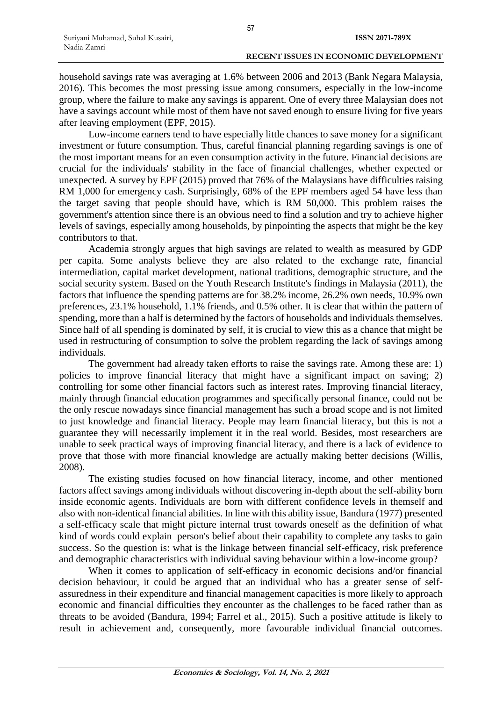household savings rate was averaging at 1.6% between 2006 and 2013 (Bank Negara Malaysia, 2016). This becomes the most pressing issue among consumers, especially in the low-income group, where the failure to make any savings is apparent. One of every three Malaysian does not have a savings account while most of them have not saved enough to ensure living for five years after leaving employment (EPF, 2015).

Low-income earners tend to have especially little chances to save money for a significant investment or future consumption. Thus, careful financial planning regarding savings is one of the most important means for an even consumption activity in the future. Financial decisions are crucial for the individuals' stability in the face of financial challenges, whether expected or unexpected. A survey by EPF (2015) proved that 76% of the Malaysians have difficulties raising RM 1,000 for emergency cash. Surprisingly, 68% of the EPF members aged 54 have less than the target saving that people should have, which is RM 50,000. This problem raises the government's attention since there is an obvious need to find a solution and try to achieve higher levels of savings, especially among households, by pinpointing the aspects that might be the key contributors to that.

Academia strongly argues that high savings are related to wealth as measured by GDP per capita. Some analysts believe they are also related to the exchange rate, financial intermediation, capital market development, national traditions, demographic structure, and the social security system. Based on the Youth Research Institute's findings in Malaysia (2011), the factors that influence the spending patterns are for 38.2% income, 26.2% own needs, 10.9% own preferences, 23.1% household, 1.1% friends, and 0.5% other. It is clear that within the pattern of spending, more than a half is determined by the factors of households and individuals themselves. Since half of all spending is dominated by self, it is crucial to view this as a chance that might be used in restructuring of consumption to solve the problem regarding the lack of savings among individuals.

The government had already taken efforts to raise the savings rate. Among these are: 1) policies to improve financial literacy that might have a significant impact on saving; 2) controlling for some other financial factors such as interest rates. Improving financial literacy, mainly through financial education programmes and specifically personal finance, could not be the only rescue nowadays since financial management has such a broad scope and is not limited to just knowledge and financial literacy. People may learn financial literacy, but this is not a guarantee they will necessarily implement it in the real world. Besides, most researchers are unable to seek practical ways of improving financial literacy, and there is a lack of evidence to prove that those with more financial knowledge are actually making better decisions (Willis, 2008).

The existing studies focused on how financial literacy, income, and other mentioned factors affect savings among individuals without discovering in-depth about the self-ability born inside economic agents. Individuals are born with different confidence levels in themself and also with non-identical financial abilities. In line with this ability issue, Bandura (1977) presented a self-efficacy scale that might picture internal trust towards oneself as the definition of what kind of words could explain person's belief about their capability to complete any tasks to gain success. So the question is: what is the linkage between financial self-efficacy, risk preference and demographic characteristics with individual saving behaviour within a low-income group?

When it comes to application of self-efficacy in economic decisions and/or financial decision behaviour, it could be argued that an individual who has a greater sense of selfassuredness in their expenditure and financial management capacities is more likely to approach economic and financial difficulties they encounter as the challenges to be faced rather than as threats to be avoided (Bandura, 1994; Farrel et al., 2015). Such a positive attitude is likely to result in achievement and, consequently, more favourable individual financial outcomes.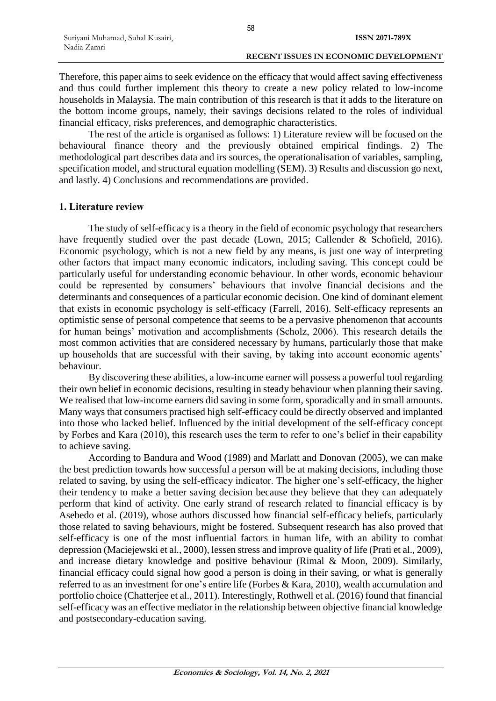Therefore, this paper aims to seek evidence on the efficacy that would affect saving effectiveness and thus could further implement this theory to create a new policy related to low-income households in Malaysia. The main contribution of this research is that it adds to the literature on the bottom income groups, namely, their savings decisions related to the roles of individual financial efficacy, risks preferences, and demographic characteristics.

The rest of the article is organised as follows: 1) Literature review will be focused on the behavioural finance theory and the previously obtained empirical findings. 2) The methodological part describes data and irs sources, the operationalisation of variables, sampling, specification model, and structural equation modelling (SEM). 3) Results and discussion go next, and lastly. 4) Conclusions and recommendations are provided.

### **1. Literature review**

The study of self-efficacy is a theory in the field of economic psychology that researchers have frequently studied over the past decade (Lown, 2015; Callender & Schofield, 2016). Economic psychology, which is not a new field by any means, is just one way of interpreting other factors that impact many economic indicators, including saving. This concept could be particularly useful for understanding economic behaviour. In other words, economic behaviour could be represented by consumers' behaviours that involve financial decisions and the determinants and consequences of a particular economic decision. One kind of dominant element that exists in economic psychology is self-efficacy (Farrell, 2016). Self-efficacy represents an optimistic sense of personal competence that seems to be a pervasive phenomenon that accounts for human beings' motivation and accomplishments (Scholz, 2006). This research details the most common activities that are considered necessary by humans, particularly those that make up households that are successful with their saving, by taking into account economic agents' behaviour.

By discovering these abilities, a low-income earner will possess a powerful tool regarding their own belief in economic decisions, resulting in steady behaviour when planning their saving. We realised that low-income earners did saving in some form, sporadically and in small amounts. Many ways that consumers practised high self-efficacy could be directly observed and implanted into those who lacked belief. Influenced by the initial development of the self-efficacy concept by Forbes and Kara (2010), this research uses the term to refer to one's belief in their capability to achieve saving.

According to Bandura and Wood (1989) and Marlatt and Donovan (2005), we can make the best prediction towards how successful a person will be at making decisions, including those related to saving, by using the self-efficacy indicator. The higher one's self-efficacy, the higher their tendency to make a better saving decision because they believe that they can adequately perform that kind of activity. One early strand of research related to financial efficacy is by Asebedo et al. (2019), whose authors discussed how financial self-efficacy beliefs, particularly those related to saving behaviours, might be fostered. Subsequent research has also proved that self-efficacy is one of the most influential factors in human life, with an ability to combat depression (Maciejewski et al., 2000), lessen stress and improve quality of life (Prati et al., 2009), and increase dietary knowledge and positive behaviour (Rimal & Moon, 2009). Similarly, financial efficacy could signal how good a person is doing in their saving, or what is generally referred to as an investment for one's entire life (Forbes & Kara, 2010), wealth accumulation and portfolio choice (Chatterjee et al., 2011). Interestingly, Rothwell et al. (2016) found that financial self-efficacy was an effective mediator in the relationship between objective financial knowledge and postsecondary-education saving.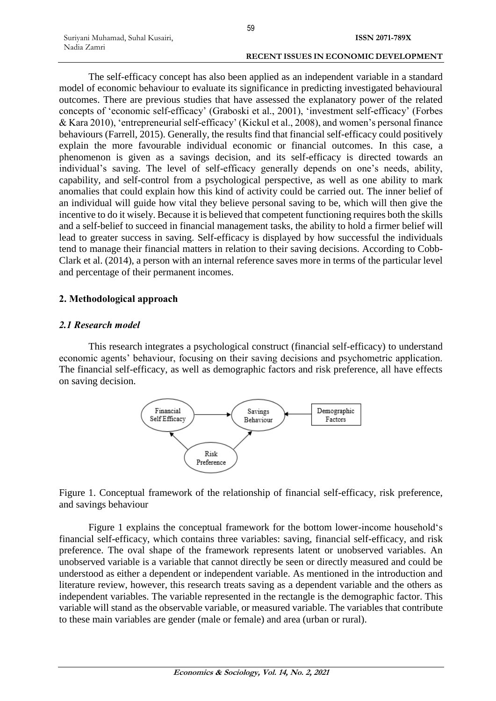The self-efficacy concept has also been applied as an independent variable in a standard model of economic behaviour to evaluate its significance in predicting investigated behavioural outcomes. There are previous studies that have assessed the explanatory power of the related concepts of 'economic self-efficacy' (Graboski et al., 2001), 'investment self-efficacy' (Forbes & Kara 2010), 'entrepreneurial self-efficacy' (Kickul et al., 2008), and women's personal finance behaviours (Farrell, 2015). Generally, the results find that financial self-efficacy could positively explain the more favourable individual economic or financial outcomes. In this case, a phenomenon is given as a savings decision, and its self-efficacy is directed towards an individual's saving. The level of self-efficacy generally depends on one's needs, ability, capability, and self-control from a psychological perspective, as well as one ability to mark anomalies that could explain how this kind of activity could be carried out. The inner belief of an individual will guide how vital they believe personal saving to be, which will then give the incentive to do it wisely. Because it is believed that competent functioning requires both the skills and a self-belief to succeed in financial management tasks, the ability to hold a firmer belief will lead to greater success in saving. Self-efficacy is displayed by how successful the individuals tend to manage their financial matters in relation to their saving decisions. According to Cobb-Clark et al. (2014), a person with an internal reference saves more in terms of the particular level and percentage of their permanent incomes.

# **2. Methodological approach**

Suriyani Muhamad, Suhal Kusairi,

Nadia Zamri

### *2.1 Research model*

This research integrates a psychological construct (financial self-efficacy) to understand economic agents' behaviour, focusing on their saving decisions and psychometric application. The financial self-efficacy, as well as demographic factors and risk preference, all have effects on saving decision.



Figure 1. Conceptual framework of the relationship of financial self-efficacy, risk preference, and savings behaviour

Figure 1 explains the conceptual framework for the bottom lower-income household's financial self-efficacy, which contains three variables: saving, financial self-efficacy, and risk preference. The oval shape of the framework represents latent or unobserved variables. An unobserved variable is a variable that cannot directly be seen or directly measured and could be understood as either a dependent or independent variable. As mentioned in the introduction and literature review, however, this research treats saving as a dependent variable and the others as independent variables. The variable represented in the rectangle is the demographic factor. This variable will stand as the observable variable, or measured variable. The variables that contribute to these main variables are gender (male or female) and area (urban or rural).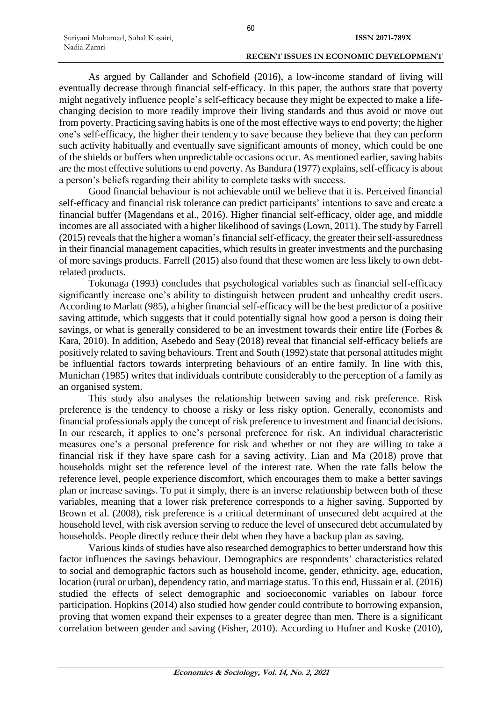As argued by Callander and Schofield (2016), a low-income standard of living will eventually decrease through financial self-efficacy. In this paper, the authors state that poverty might negatively influence people's self-efficacy because they might be expected to make a lifechanging decision to more readily improve their living standards and thus avoid or move out from poverty. Practicing saving habits is one of the most effective ways to end poverty; the higher one's self-efficacy, the higher their tendency to save because they believe that they can perform such activity habitually and eventually save significant amounts of money, which could be one of the shields or buffers when unpredictable occasions occur. As mentioned earlier, saving habits are the most effective solutions to end poverty. As Bandura (1977) explains, self-efficacy is about a person's beliefs regarding their ability to complete tasks with success.

Good financial behaviour is not achievable until we believe that it is. Perceived financial self-efficacy and financial risk tolerance can predict participants' intentions to save and create a financial buffer (Magendans et al., 2016). Higher financial self-efficacy, older age, and middle incomes are all associated with a higher likelihood of savings (Lown, 2011). The study by Farrell (2015) reveals that the higher a woman's financial self-efficacy, the greater their self-assuredness in their financial management capacities, which results in greater investments and the purchasing of more savings products. Farrell (2015) also found that these women are less likely to own debtrelated products.

Tokunaga (1993) concludes that psychological variables such as financial self-efficacy significantly increase one's ability to distinguish between prudent and unhealthy credit users. According to Marlatt (985), a higher financial self-efficacy will be the best predictor of a positive saving attitude, which suggests that it could potentially signal how good a person is doing their savings, or what is generally considered to be an investment towards their entire life (Forbes & Kara, 2010). In addition, Asebedo and Seay (2018) reveal that financial self-efficacy beliefs are positively related to saving behaviours. Trent and South (1992) state that personal attitudes might be influential factors towards interpreting behaviours of an entire family. In line with this, Munichan (1985) writes that individuals contribute considerably to the perception of a family as an organised system.

This study also analyses the relationship between saving and risk preference. Risk preference is the tendency to choose a risky or less risky option. Generally, economists and financial professionals apply the concept of risk preference to investment and financial decisions. In our research, it applies to one's personal preference for risk. An individual characteristic measures one's a personal preference for risk and whether or not they are willing to take a financial risk if they have spare cash for a saving activity. Lian and Ma (2018) prove that households might set the reference level of the interest rate. When the rate falls below the reference level, people experience discomfort, which encourages them to make a better savings plan or increase savings. To put it simply, there is an inverse relationship between both of these variables, meaning that a lower risk preference corresponds to a higher saving. Supported by Brown et al. (2008), risk preference is a critical determinant of unsecured debt acquired at the household level, with risk aversion serving to reduce the level of unsecured debt accumulated by households. People directly reduce their debt when they have a backup plan as saving.

Various kinds of studies have also researched demographics to better understand how this factor influences the savings behaviour. Demographics are respondents' characteristics related to social and demographic factors such as household income, gender, ethnicity, age, education, location (rural or urban), dependency ratio, and marriage status. To this end, Hussain et al. (2016) studied the effects of select demographic and socioeconomic variables on labour force participation. Hopkins (2014) also studied how gender could contribute to borrowing expansion, proving that women expand their expenses to a greater degree than men. There is a significant correlation between gender and saving (Fisher, 2010). According to Hufner and Koske (2010),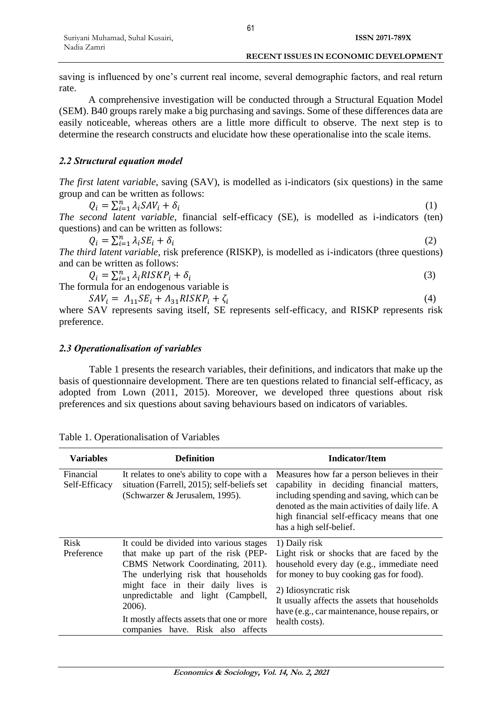saving is influenced by one's current real income, several demographic factors, and real return rate.

A comprehensive investigation will be conducted through a Structural Equation Model (SEM). B40 groups rarely make a big purchasing and savings. Some of these differences data are easily noticeable, whereas others are a little more difficult to observe. The next step is to determine the research constructs and elucidate how these operationalise into the scale items.

### *2.2 Structural equation model*

*The first latent variable*, saving (SAV), is modelled as i-indicators (six questions) in the same group and can be written as follows:

$$
Q_i = \sum_{i=1}^n \lambda_i S A V_i + \delta_i \tag{1}
$$

*The second latent variable,* financial self-efficacy (SE), is modelled as i-indicators (ten) questions) and can be written as follows:

$$
Q_i = \sum_{i=1}^n \lambda_i SE_i + \delta_i \tag{2}
$$

*The third latent variable*, risk preference (RISKP), is modelled as i-indicators (three questions) and can be written as follows:

$$
Q_i = \sum_{i=1}^n \lambda_i RISKP_i + \delta_i
$$
\n<sup>(3)</sup>

The formula for an endogenous variable is

$$
SAV_i = \Lambda_{11} SE_i + \Lambda_{31} RISKP_i + \zeta_i \tag{4}
$$

where SAV represents saving itself, SE represents self-efficacy, and RISKP represents risk preference.

### *2.3 Operationalisation of variables*

Table 1 presents the research variables, their definitions, and indicators that make up the basis of questionnaire development. There are ten questions related to financial self-efficacy, as adopted from Lown (2011, 2015). Moreover, we developed three questions about risk preferences and six questions about saving behaviours based on indicators of variables.

| Table 1. Operationalisation of Variables |  |
|------------------------------------------|--|
|                                          |  |

| <b>Variables</b>           | <b>Definition</b>                                                                                                                                                                                                                                                                                                                  | <b>Indicator/Item</b>                                                                                                                                                                                                                                                                             |
|----------------------------|------------------------------------------------------------------------------------------------------------------------------------------------------------------------------------------------------------------------------------------------------------------------------------------------------------------------------------|---------------------------------------------------------------------------------------------------------------------------------------------------------------------------------------------------------------------------------------------------------------------------------------------------|
| Financial<br>Self-Efficacy | It relates to one's ability to cope with a<br>situation (Farrell, 2015); self-beliefs set<br>(Schwarzer & Jerusalem, 1995).                                                                                                                                                                                                        | Measures how far a person believes in their<br>capability in deciding financial matters,<br>including spending and saving, which can be<br>denoted as the main activities of daily life. A<br>high financial self-efficacy means that one<br>has a high self-belief.                              |
| <b>Risk</b><br>Preference  | It could be divided into various stages<br>that make up part of the risk (PEP-<br>CBMS Network Coordinating, 2011).<br>The underlying risk that households<br>might face in their daily lives is<br>unpredictable and light (Campbell,<br>2006).<br>It mostly affects assets that one or more<br>companies have. Risk also affects | 1) Daily risk<br>Light risk or shocks that are faced by the<br>household every day (e.g., immediate need<br>for money to buy cooking gas for food).<br>2) Idiosyncratic risk<br>It usually affects the assets that households<br>have (e.g., car maintenance, house repairs, or<br>health costs). |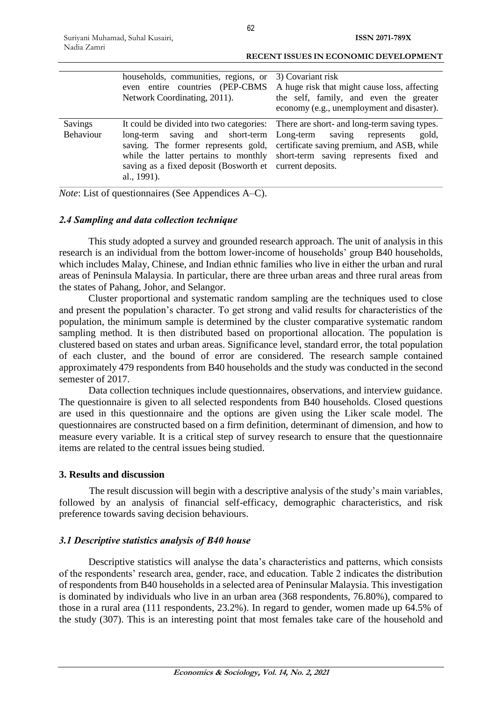|                             | households, communities, regions, or<br>even entire countries (PEP-CBMS<br>Network Coordinating, 2011).                                                                                   | 3) Covariant risk<br>A huge risk that might cause loss, affecting<br>the self, family, and even the greater<br>economy (e.g., unemployment and disaster).                                                             |
|-----------------------------|-------------------------------------------------------------------------------------------------------------------------------------------------------------------------------------------|-----------------------------------------------------------------------------------------------------------------------------------------------------------------------------------------------------------------------|
| Savings<br><b>Behaviour</b> | long-term saving and short-term<br>saving. The former represents gold,<br>while the latter pertains to monthly<br>saving as a fixed deposit (Bosworth et current deposits.<br>al., 1991). | It could be divided into two categories: There are short- and long-term saving types.<br>Long-term saving represents<br>gold,<br>certificate saving premium, and ASB, while<br>short-term saving represents fixed and |

*Note*: List of questionnaires (See Appendices A–C).

### *2.4 Sampling and data collection technique*

This study adopted a survey and grounded research approach. The unit of analysis in this research is an individual from the bottom lower-income of households' group B40 households, which includes Malay, Chinese, and Indian ethnic families who live in either the urban and rural areas of Peninsula Malaysia. In particular, there are three urban areas and three rural areas from the states of Pahang, Johor, and Selangor.

Cluster proportional and systematic random sampling are the techniques used to close and present the population's character. To get strong and valid results for characteristics of the population, the minimum sample is determined by the cluster comparative systematic random sampling method. It is then distributed based on proportional allocation. The population is clustered based on states and urban areas. Significance level, standard error, the total population of each cluster, and the bound of error are considered. The research sample contained approximately 479 respondents from B40 households and the study was conducted in the second semester of 2017.

Data collection techniques include questionnaires, observations, and interview guidance. The questionnaire is given to all selected respondents from B40 households. Closed questions are used in this questionnaire and the options are given using the Liker scale model. The questionnaires are constructed based on a firm definition, determinant of dimension, and how to measure every variable. It is a critical step of survey research to ensure that the questionnaire items are related to the central issues being studied.

### **3. Results and discussion**

The result discussion will begin with a descriptive analysis of the study's main variables, followed by an analysis of financial self-efficacy, demographic characteristics, and risk preference towards saving decision behaviours.

# *3.1 Descriptive statistics analysis of B40 house*

Descriptive statistics will analyse the data's characteristics and patterns, which consists of the respondents' research area, gender, race, and education. Table 2 indicates the distribution of respondents from B40 households in a selected area of Peninsular Malaysia. This investigation is dominated by individuals who live in an urban area (368 respondents, 76.80%), compared to those in a rural area (111 respondents, 23.2%). In regard to gender, women made up 64.5% of the study (307). This is an interesting point that most females take care of the household and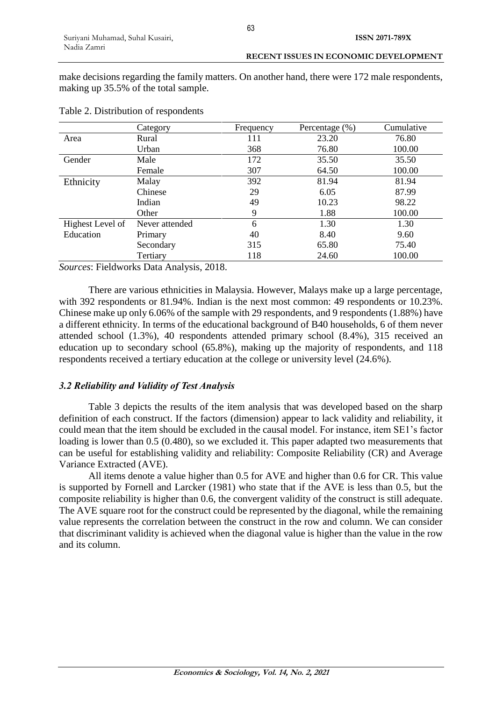make decisions regarding the family matters. On another hand, there were 172 male respondents, making up 35.5% of the total sample.

|                  | Category       | Frequency | Percentage $(\%)$ | Cumulative |
|------------------|----------------|-----------|-------------------|------------|
| Area             | Rural          | 111       | 23.20             | 76.80      |
|                  | Urban          | 368       | 76.80             | 100.00     |
| Gender           | Male           | 172       | 35.50             | 35.50      |
|                  | Female         | 307       | 64.50             | 100.00     |
| Ethnicity        | Malay          | 392       | 81.94             | 81.94      |
|                  | Chinese        | 29        | 6.05              | 87.99      |
|                  | Indian         | 49        | 10.23             | 98.22      |
|                  | Other          | 9         | 1.88              | 100.00     |
| Highest Level of | Never attended | 6         | 1.30              | 1.30       |
| Education        | Primary        | 40        | 8.40              | 9.60       |
|                  | Secondary      | 315       | 65.80             | 75.40      |
|                  | Tertiary       | 118       | 24.60             | 100.00     |

Table 2. Distribution of respondents

*Sources*: Fieldworks Data Analysis, 2018.

There are various ethnicities in Malaysia. However, Malays make up a large percentage, with 392 respondents or 81.94%. Indian is the next most common: 49 respondents or 10.23%. Chinese make up only 6.06% of the sample with 29 respondents, and 9 respondents (1.88%) have a different ethnicity. In terms of the educational background of B40 households, 6 of them never attended school (1.3%), 40 respondents attended primary school (8.4%), 315 received an education up to secondary school (65.8%), making up the majority of respondents, and 118 respondents received a tertiary education at the college or university level (24.6%).

### *3.2 Reliability and Validity of Test Analysis*

Table 3 depicts the results of the item analysis that was developed based on the sharp definition of each construct. If the factors (dimension) appear to lack validity and reliability, it could mean that the item should be excluded in the causal model. For instance, item SE1's factor loading is lower than 0.5 (0.480), so we excluded it. This paper adapted two measurements that can be useful for establishing validity and reliability: Composite Reliability (CR) and Average Variance Extracted (AVE).

All items denote a value higher than 0.5 for AVE and higher than 0.6 for CR. This value is supported by Fornell and Larcker (1981) who state that if the AVE is less than 0.5, but the composite reliability is higher than 0.6, the convergent validity of the construct is still adequate. The AVE square root for the construct could be represented by the diagonal, while the remaining value represents the correlation between the construct in the row and column. We can consider that discriminant validity is achieved when the diagonal value is higher than the value in the row and its column.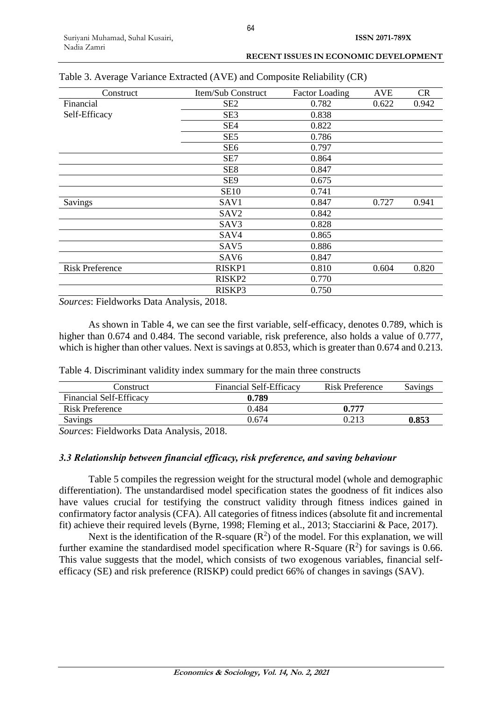| Construct              | Item/Sub Construct | <b>Factor Loading</b> | <b>AVE</b> | <b>CR</b> |
|------------------------|--------------------|-----------------------|------------|-----------|
| Financial              | SE <sub>2</sub>    | 0.782                 | 0.622      | 0.942     |
| Self-Efficacy          | SE <sub>3</sub>    | 0.838                 |            |           |
|                        | SE4                | 0.822                 |            |           |
|                        | SE <sub>5</sub>    | 0.786                 |            |           |
|                        | SE <sub>6</sub>    | 0.797                 |            |           |
|                        | SE7                | 0.864                 |            |           |
|                        | SE <sub>8</sub>    | 0.847                 |            |           |
|                        | SE <sub>9</sub>    | 0.675                 |            |           |
|                        | <b>SE10</b>        | 0.741                 |            |           |
| Savings                | SAV1               | 0.847                 | 0.727      | 0.941     |
|                        | SAV <sub>2</sub>   | 0.842                 |            |           |
|                        | SAV3               | 0.828                 |            |           |
|                        | SAV4               | 0.865                 |            |           |
|                        | SAV <sub>5</sub>   | 0.886                 |            |           |
|                        | SAV <sub>6</sub>   | 0.847                 |            |           |
| <b>Risk Preference</b> | RISKP1             | 0.810                 | 0.604      | 0.820     |
|                        | RISKP <sub>2</sub> | 0.770                 |            |           |
|                        | RISKP3             | 0.750                 |            |           |

Table 3. Average Variance Extracted (AVE) and Composite Reliability (CR)

*Sources*: Fieldworks Data Analysis, 2018.

As shown in Table 4, we can see the first variable, self-efficacy, denotes 0.789, which is higher than 0.674 and 0.484. The second variable, risk preference, also holds a value of 0.777, which is higher than other values. Next is savings at 0.853, which is greater than 0.674 and 0.213.

|  |  |  | Table 4. Discriminant validity index summary for the main three constructs |
|--|--|--|----------------------------------------------------------------------------|
|--|--|--|----------------------------------------------------------------------------|

| Construct                      | Financial Self-Efficacy | <b>Risk Preference</b> | Savings |
|--------------------------------|-------------------------|------------------------|---------|
| <b>Financial Self-Efficacy</b> | 0.789                   |                        |         |
| Risk Preference                | 0.484                   | 0.777                  |         |
| Savings                        | 0.674                   | 213                    | 0.853   |
| ____<br>.                      |                         |                        |         |

*Sources*: Fieldworks Data Analysis, 2018.

### *3.3 Relationship between financial efficacy, risk preference, and saving behaviour*

Table 5 compiles the regression weight for the structural model (whole and demographic differentiation). The unstandardised model specification states the goodness of fit indices also have values crucial for testifying the construct validity through fitness indices gained in confirmatory factor analysis (CFA). All categories of fitness indices (absolute fit and incremental fit) achieve their required levels (Byrne, 1998; Fleming et al., 2013; Stacciarini & Pace, 2017).

Next is the identification of the R-square  $(R^2)$  of the model. For this explanation, we will further examine the standardised model specification where R-Square  $(R^2)$  for savings is 0.66. This value suggests that the model, which consists of two exogenous variables, financial selfefficacy (SE) and risk preference (RISKP) could predict 66% of changes in savings (SAV).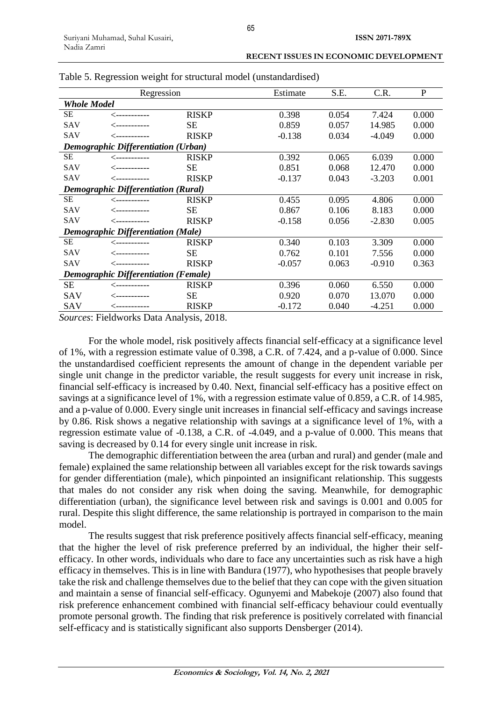|                                             | Regression                                 |              | Estimate | S.E.  | C.R.     | $\mathbf{P}$ |
|---------------------------------------------|--------------------------------------------|--------------|----------|-------|----------|--------------|
| <b>Whole Model</b>                          |                                            |              |          |       |          |              |
| <b>SE</b>                                   | <i>&lt;-</i> ----------                    | <b>RISKP</b> | 0.398    | 0.054 | 7.424    | 0.000        |
| <b>SAV</b>                                  | -------------                              | <b>SE</b>    | 0.859    | 0.057 | 14.985   | 0.000        |
| SAV                                         | ╱------------                              | <b>RISKP</b> | $-0.138$ | 0.034 | -4.049   | 0.000        |
|                                             | <b>Demographic Differentiation (Urban)</b> |              |          |       |          |              |
| SE                                          | ------------                               | <b>RISKP</b> | 0.392    | 0.065 | 6.039    | 0.000        |
| <b>SAV</b>                                  | -------------                              | <b>SE</b>    | 0.851    | 0.068 | 12.470   | 0.000        |
| SAV                                         | -------------                              | <b>RISKP</b> | $-0.137$ | 0.043 | $-3.203$ | 0.001        |
| <b>Demographic Differentiation (Rural)</b>  |                                            |              |          |       |          |              |
| <b>SE</b>                                   | -------------                              | <b>RISKP</b> | 0.455    | 0.095 | 4.806    | 0.000        |
| <b>SAV</b>                                  | -------------                              | <b>SE</b>    | 0.867    | 0.106 | 8.183    | 0.000        |
| SAV                                         | <------------                              | <b>RISKP</b> | $-0.158$ | 0.056 | $-2.830$ | 0.005        |
| <b>Demographic Differentiation (Male)</b>   |                                            |              |          |       |          |              |
| SE                                          | <------------                              | <b>RISKP</b> | 0.340    | 0.103 | 3.309    | 0.000        |
| <b>SAV</b>                                  | ------------                               | <b>SE</b>    | 0.762    | 0.101 | 7.556    | 0.000        |
| <b>SAV</b>                                  | <------------                              | <b>RISKP</b> | $-0.057$ | 0.063 | $-0.910$ | 0.363        |
| <b>Demographic Differentiation (Female)</b> |                                            |              |          |       |          |              |
| <b>SE</b>                                   | ------------                               | <b>RISKP</b> | 0.396    | 0.060 | 6.550    | 0.000        |
| <b>SAV</b>                                  | -------------                              | <b>SE</b>    | 0.920    | 0.070 | 13.070   | 0.000        |
| SAV                                         | <------------                              | <b>RISKP</b> | $-0.172$ | 0.040 | $-4.251$ | 0.000        |

Table 5. Regression weight for structural model (unstandardised)

*Sources*: Fieldworks Data Analysis, 2018.

For the whole model, risk positively affects financial self-efficacy at a significance level of 1%, with a regression estimate value of 0.398, a C.R. of 7.424, and a p-value of 0.000. Since the unstandardised coefficient represents the amount of change in the dependent variable per single unit change in the predictor variable, the result suggests for every unit increase in risk, financial self-efficacy is increased by 0.40. Next, financial self-efficacy has a positive effect on savings at a significance level of 1%, with a regression estimate value of 0.859, a C.R. of 14.985, and a p-value of 0.000. Every single unit increases in financial self-efficacy and savings increase by 0.86. Risk shows a negative relationship with savings at a significance level of 1%, with a regression estimate value of -0.138, a C.R. of -4.049, and a p-value of 0.000. This means that saving is decreased by 0.14 for every single unit increase in risk.

The demographic differentiation between the area (urban and rural) and gender (male and female) explained the same relationship between all variables except for the risk towards savings for gender differentiation (male), which pinpointed an insignificant relationship. This suggests that males do not consider any risk when doing the saving. Meanwhile, for demographic differentiation (urban), the significance level between risk and savings is 0.001 and 0.005 for rural. Despite this slight difference, the same relationship is portrayed in comparison to the main model.

The results suggest that risk preference positively affects financial self-efficacy, meaning that the higher the level of risk preference preferred by an individual, the higher their selfefficacy. In other words, individuals who dare to face any uncertainties such as risk have a high efficacy in themselves. This is in line with Bandura (1977), who hypothesises that people bravely take the risk and challenge themselves due to the belief that they can cope with the given situation and maintain a sense of financial self-efficacy. Ogunyemi and Mabekoje (2007) also found that risk preference enhancement combined with financial self-efficacy behaviour could eventually promote personal growth. The finding that risk preference is positively correlated with financial self-efficacy and is statistically significant also supports Densberger (2014).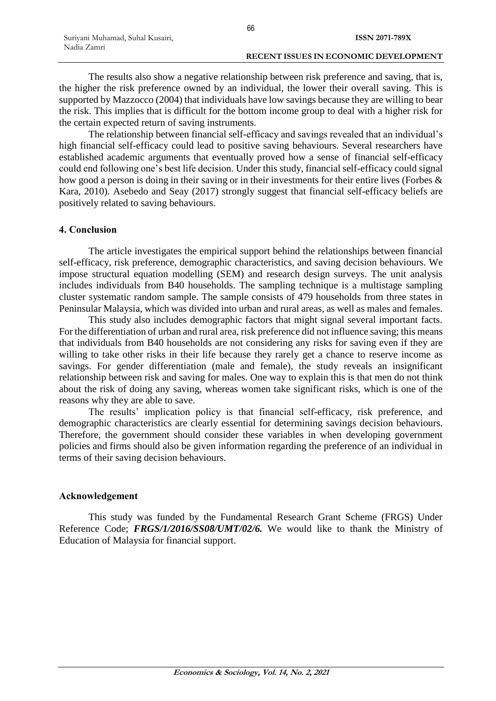The results also show a negative relationship between risk preference and saving, that is, the higher the risk preference owned by an individual, the lower their overall saving. This is supported by Mazzocco (2004) that individuals have low savings because they are willing to bear the risk. This implies that is difficult for the bottom income group to deal with a higher risk for the certain expected return of saving instruments.

The relationship between financial self-efficacy and savings revealed that an individual's high financial self-efficacy could lead to positive saving behaviours. Several researchers have established academic arguments that eventually proved how a sense of financial self-efficacy could end following one's best life decision. Under this study, financial self-efficacy could signal how good a person is doing in their saving or in their investments for their entire lives (Forbes & Kara, 2010). Asebedo and Seay (2017) strongly suggest that financial self-efficacy beliefs are positively related to saving behaviours.

### **4. Conclusion**

The article investigates the empirical support behind the relationships between financial self-efficacy, risk preference, demographic characteristics, and saving decision behaviours. We impose structural equation modelling (SEM) and research design surveys. The unit analysis includes individuals from B40 households. The sampling technique is a multistage sampling cluster systematic random sample. The sample consists of 479 households from three states in Peninsular Malaysia, which was divided into urban and rural areas, as well as males and females.

This study also includes demographic factors that might signal several important facts. For the differentiation of urban and rural area, risk preference did not influence saving; this means that individuals from B40 households are not considering any risks for saving even if they are willing to take other risks in their life because they rarely get a chance to reserve income as savings. For gender differentiation (male and female), the study reveals an insignificant relationship between risk and saving for males. One way to explain this is that men do not think about the risk of doing any saving, whereas women take significant risks, which is one of the reasons why they are able to save.

The results' implication policy is that financial self-efficacy, risk preference, and demographic characteristics are clearly essential for determining savings decision behaviours. Therefore, the government should consider these variables in when developing government policies and firms should also be given information regarding the preference of an individual in terms of their saving decision behaviours.

### **Acknowledgement**

This study was funded by the Fundamental Research Grant Scheme (FRGS) Under Reference Code; *FRGS/1/2016/SS08/UMT/02/6.* We would like to thank the Ministry of Education of Malaysia for financial support.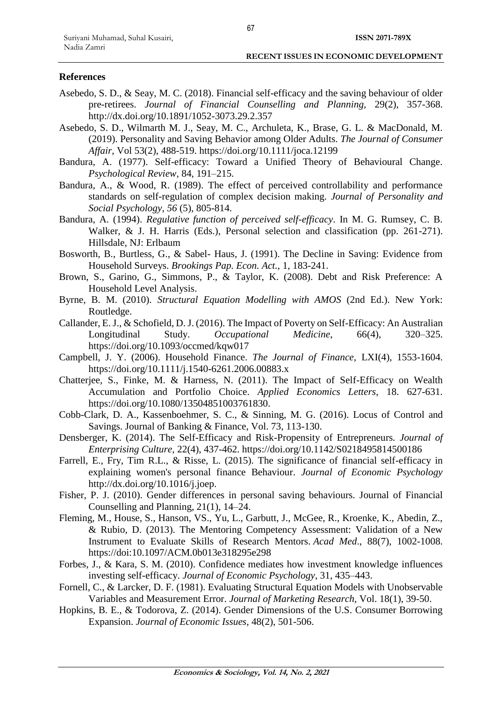### **References**

- Asebedo, S. D., & Seay, M. C. (2018). Financial self-efficacy and the saving behaviour of older pre-retirees. *Journal of Financial Counselling and Planning,* 29(2), 357-368. http://dx.doi.org/10.1891/1052-3073.29.2.357
- Asebedo, S. D., Wilmarth M. J., Seay, M. C., Archuleta, K., Brase, G. L. & MacDonald, M. (2019). Personality and Saving Behavior among Older Adults. *The Journal of Consumer Affair*, [Vol 53\(2\)](https://onlinelibrary.wiley.com/toc/17456606/2019/53/2), 488-519. https://doi.org/10.1111/joca.12199
- Bandura, A. (1977). Self-efficacy: Toward a Unified Theory of Behavioural Change. *Psychological Review*, 84, 191–215.
- Bandura, A., & Wood, R. (1989). The effect of perceived controllability and performance standards on self-regulation of complex decision making. *Journal of Personality and Social Psychology, 56* (5), 805-814.
- Bandura, A. (1994). *Regulative function of perceived self-efficacy*. In M. G. Rumsey, C. B. Walker, & J. H. Harris (Eds.), Personal selection and classification (pp. 261-271). Hillsdale, NJ: Erlbaum
- Bosworth, B., Burtless, G., & Sabel- Haus, J. (1991). The Decline in Saving: Evidence from Household Surveys. *Brookings Pap. Econ. Act.,* 1, 183-241.
- Brown, S., Garino, G., Simmons, P., & Taylor, K. (2008). Debt and Risk Preference: A Household Level Analysis.
- Byrne, B. M. (2010). *Structural Equation Modelling with AMOS* (2nd Ed.). New York: Routledge.
- Callander, E. J., & Schofield, D. J. (2016). The Impact of Poverty on Self-Efficacy: An Australian Longitudinal Study. *Occupational Medicine*, 66(4), 320–325. https://doi.org/10.1093/occmed/kqw017
- Campbell, J. Y. (2006). Household Finance. *The Journal of Finance,* LXI(4), 1553-1604. <https://doi.org/10.1111/j.1540-6261.2006.00883.x>
- Chatterjee, S., Finke, M. & Harness, N. (2011). The Impact of Self-Efficacy on Wealth Accumulation and Portfolio Choice. *Applied Economics Letters*, 18. 627-631. https://doi.org/10.1080/13504851003761830.
- Cobb-Clark, D. A., Kassenboehmer, S. C., & Sinning, M. G. (2016). Locus of Control and Savings. Journal of Banking & Finance, Vol. 73, 113-130.
- Densberger, K. (2014). The Self-Efficacy and Risk-Propensity of Entrepreneurs*. Journal of Enterprising Culture,* 22(4), 437-462.<https://doi.org/10.1142/S0218495814500186>
- Farrell, E., Fry, Tim R.L., & Risse, L. (2015). The significance of financial self-efficacy in explaining women's personal finance Behaviour. *Journal of Economic Psychology* http://dx.doi.org/10.1016/j.joep.
- Fisher, P. J. (2010). Gender differences in personal saving behaviours. Journal of Financial Counselling and Planning, 21(1), 14–24.
- Fleming, M., House, S., Hanson, VS., Yu, L., Garbutt, J., McGee, R., Kroenke, K., Abedin, Z., & Rubio, D. (2013). The Mentoring Competency Assessment: Validation of a New Instrument to Evaluate Skills of Research Mentors. *Acad Med*., 88(7), 1002-1008. https://doi:10.1097/ACM.0b013e318295e298
- Forbes, J., & Kara, S. M. (2010). Confidence mediates how investment knowledge influences investing self-efficacy. *Journal of Economic Psychology*, 31, 435–443.
- Fornell, C., & Larcker, D. F. (1981). Evaluating Structural Equation Models with Unobservable Variables and Measurement Error. *Journal of Marketing Research,* Vol. 18(1), 39-50.
- Hopkins, B. E., & Todorova, Z. (2014). Gender Dimensions of the U.S. Consumer Borrowing Expansion. *Journal of Economic Issues,* 48(2), 501-506.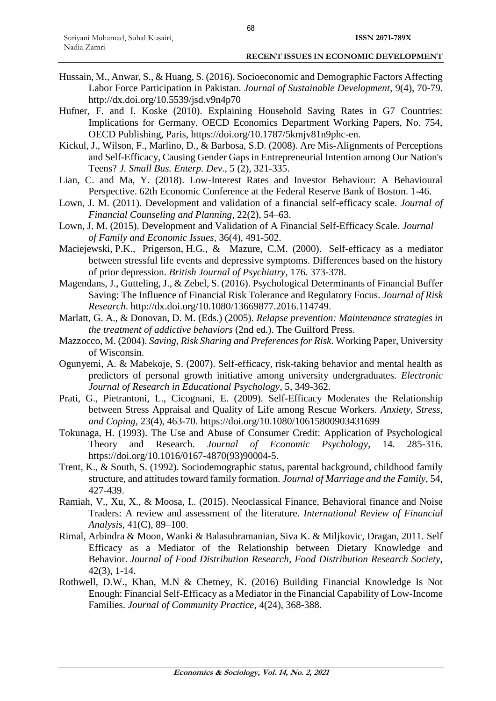- Hussain, M., Anwar, S., & Huang, S. (2016). Socioeconomic and Demographic Factors Affecting Labor Force Participation in Pakistan. *Journal of Sustainable Development,* 9(4), 70-79. <http://dx.doi.org/10.5539/jsd.v9n4p70>
- Hufner, F. and I. Koske (2010). Explaining Household Saving Rates in G7 Countries: Implications for Germany. OECD Economics Department Working Papers, No. 754, OECD Publishing, Paris, [https://doi.org/10.1787/5kmjv81n9phc-en.](https://doi.org/10.1787/5kmjv81n9phc-en)
- Kickul, J., Wilson, F., Marlino, D., & Barbosa, S.D. (2008). Are Mis-Alignments of Perceptions and Self-Efficacy, Causing Gender Gaps in Entrepreneurial Intention among Our Nation's Teens? *J. Small Bus. Enterp. Dev.,* 5 (2), 321-335.
- Lian, C. and Ma, Y. (2018). Low-Interest Rates and Investor Behaviour: A Behavioural Perspective. 62th Economic Conference at the Federal Reserve Bank of Boston. 1-46.
- Lown, J. M. (2011). Development and validation of a financial self-efficacy scale. *Journal of Financial Counseling and Planning*, 22(2), 54–63.
- Lown, J. M. (2015). Development and Validation of A Financial Self-Efficacy Scale. *Journal of Family and Economic Issues,* 36(4), 491-502.
- Maciejewski, P.K., Prigerson, H.G., & Mazure, C.M. (2000). Self-efficacy as a mediator between stressful life events and depressive symptoms. Differences based on the history of prior depression. *British Journal of Psychiatry*, 176. 373-378.
- Magendans, J., Gutteling, J., & Zebel, S. (2016). Psychological Determinants of Financial Buffer Saving: The Influence of Financial Risk Tolerance and Regulatory Focus. *Journal of Risk Research*. http://dx.doi.org/10.1080/13669877.2016.114749.
- Marlatt, G. A., & Donovan, D. M. (Eds.) (2005). *Relapse prevention: Maintenance strategies in the treatment of addictive behaviors* (2nd ed.). The Guilford Press.
- Mazzocco, M. (2004). *Saving, Risk Sharing and Preferences for Risk*. Working Paper, University of Wisconsin.
- Ogunyemi, A. & Mabekoje, S. (2007). Self-efficacy, risk-taking behavior and mental health as predictors of personal growth initiative among university undergraduates. *Electronic Journal of Research in Educational Psychology*, 5, 349-362.
- Prati, G., Pietrantoni, L., Cicognani, E. (2009). Self-Efficacy Moderates the Relationship between Stress Appraisal and Quality of Life among Rescue Workers. *Anxiety, Stress, and Coping,* 23(4), 463-70. https://doi.org/10.1080/10615800903431699
- Tokunaga, H. (1993). The Use and Abuse of Consumer Credit: Application of Psychological Theory and Research. *Journal of Economic Psychology*, 14. 285-316. https://doi.org/10.1016/0167-4870(93)90004-5.
- Trent, K., & South, S. (1992). Sociodemographic status, parental background, childhood family structure, and attitudes toward family formation. *Journal of Marriage and the Family,* 54, 427-439.
- Ramiah, V., Xu, X., & Moosa, I.. (2015). Neoclassical Finance, Behavioral finance and Noise Traders: A review and assessment of the literature. *International Review of Financial Analysis*, 41(C), 89–100.
- Rimal, Arbindra & Moon, Wanki & Balasubramanian, Siva K. & Miljkovic, Dragan, 2011. [Self](https://ideas.repec.org/a/ags/jlofdr/139430.html)  [Efficacy as a Mediator of the Relationship between Dietary Knowledge and](https://ideas.repec.org/a/ags/jlofdr/139430.html)  [Behavior.](https://ideas.repec.org/a/ags/jlofdr/139430.html) *[Journal of Food Distribution Research,](https://ideas.repec.org/s/ags/jlofdr.html) Food Distribution Research Society*, 42(3), 1-14.
- Rothwell, D.W., Khan, M.N & Chetney, K. (2016) Building Financial Knowledge Is Not Enough: Financial Self-Efficacy as a Mediator in the Financial Capability of Low-Income Families. *Journal of Community Practice,* 4(24), 368-388.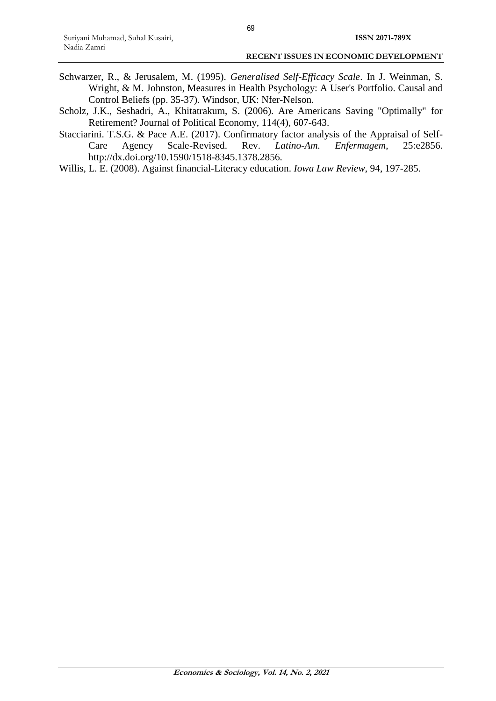- Schwarzer, R., & Jerusalem, M. (1995). *Generalised Self-Efficacy Scale*. In J. Weinman, S. Wright, & M. Johnston, Measures in Health Psychology: A User's Portfolio. Causal and Control Beliefs (pp. 35-37). Windsor, UK: Nfer-Nelson.
- Scholz, J.K., Seshadri, A., Khitatrakum, S. (2006). Are Americans Saving "Optimally" for Retirement? Journal of Political Economy, 114(4), 607-643.
- Stacciarini. T.S.G. & Pace A.E. (2017). Confirmatory factor analysis of the Appraisal of Self-Care Agency Scale-Revised. Rev. *Latino-Am. Enfermagem*, 25:e2856. http://dx.doi.org/10.1590/1518-8345.1378.2856.
- Willis, L. E. (2008). Against financial-Literacy education. *Iowa Law Review*, 94, 197-285.